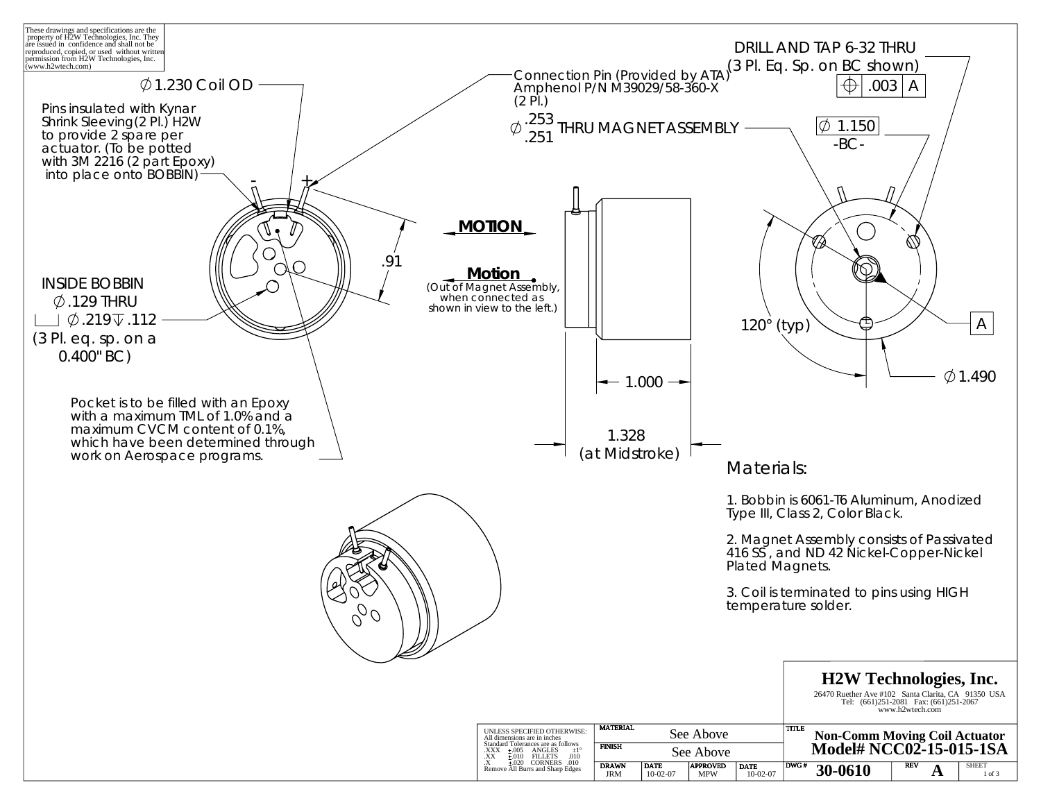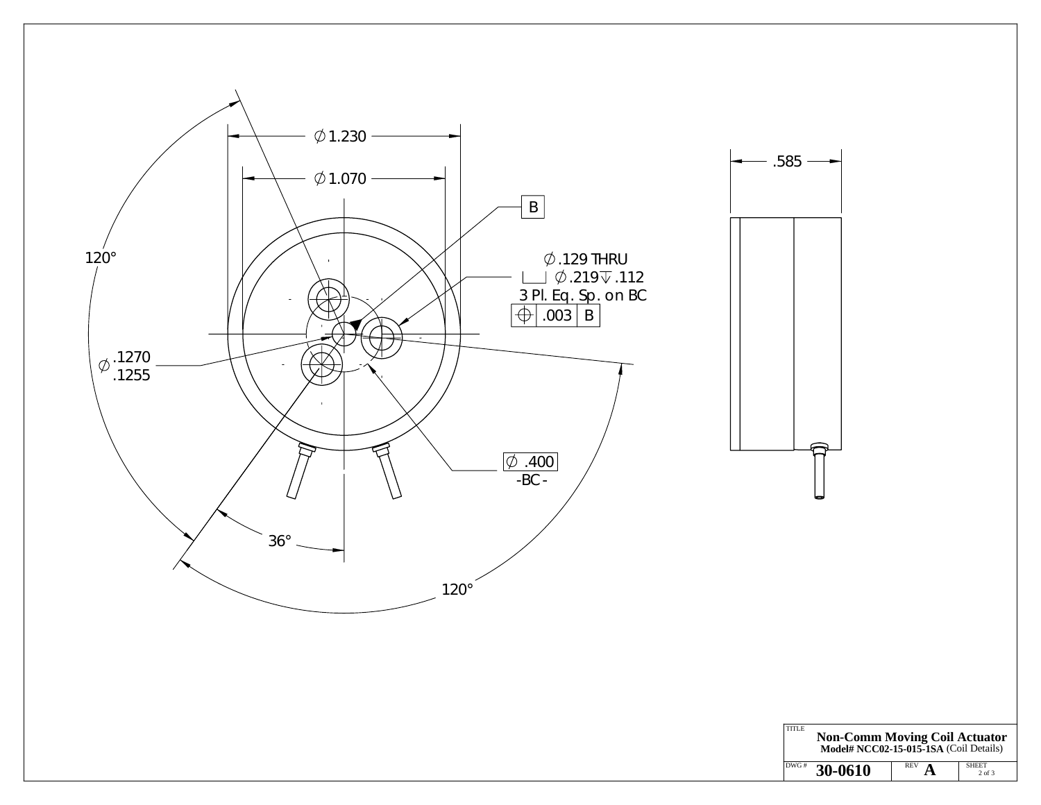